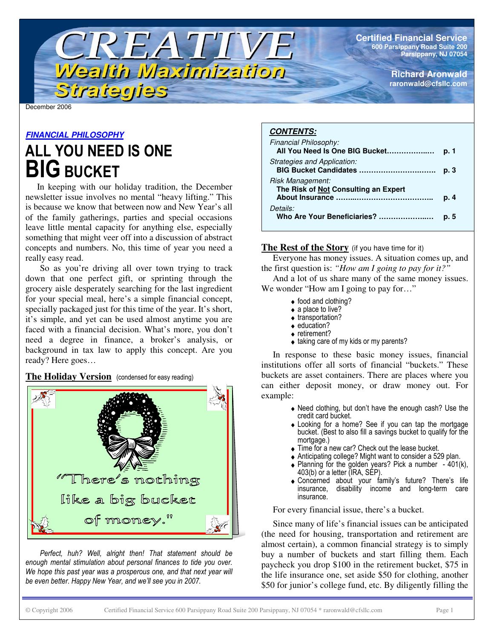**Certified Financial Service 600 Parsippany Road Suite 200 Parsippany, NJ 07054**

> **Richard Aronwald raronwald@cfsllc.com**

December 2006

#### *FINANCIAL PHILOSOPHY*

## ALL YOU NEED IS ONE **BIG BUCKET**

Strategies

In keeping with our holiday tradition, the December newsletter issue involves no mental "heavy lifting." This is because we know that between now and New Year's all of the family gatherings, parties and special occasions leave little mental capacity for anything else, especially something that might veer off into a discussion of abstract concepts and numbers. No, this time of year you need a really easy read.

TREATIVE

Wealth Maximization

So as you're driving all over town trying to track down that one perfect gift, or sprinting through the grocery aisle desperately searching for the last ingredient for your special meal, here's a simple financial concept, specially packaged just for this time of the year. It's short, it's simple, and yet can be used almost anytime you are faced with a financial decision. What's more, you don't need a degree in finance, a broker's analysis, or background in tax law to apply this concept. Are you ready? Here goes…

#### $\overline{\textbf{The Holiday Version}}$  (condensed for easy reading)



Perfect, huh? Well, alright then! That statement should be enough mental stimulation about personal finances to tide you over. We hope this past year was a prosperous one, and that next year will be even better. Happy New Year, and we'll see you in 2007.

#### *CONTENTS:*

| Financial Philosophy:<br>All You Need Is One BIG Bucket  | p. 1 |
|----------------------------------------------------------|------|
| Strategies and Application:<br>BIG Bucket Candidates     | p. 3 |
| Risk Management:<br>The Risk of Not Consulting an Expert | p. 4 |
| Details:<br>Who Are Your Beneficiaries?                  | p. 5 |

#### **The Rest of the Story** (if you have time for it)

Everyone has money issues. A situation comes up, and the first question is: *"How am I going to pay for it?"*

And a lot of us share many of the same money issues. We wonder "How am I going to pay for..."

- food and clothing?
- $\bullet$  a place to live?
- transportation?
- education? • retirement?
- taking care of my kids or my parents?

In response to these basic money issues, financial institutions offer all sorts of financial "buckets." These buckets are asset containers. There are places where you can either deposit money, or draw money out. For example:

- Need clothing, but don't have the enough cash? Use the credit card bucket.
- Looking for a home? See if you can tap the mortgage bucket. (Best to also fill a savings bucket to qualify for the mortgage.)
- $\bullet$  Time for a new car? Check out the lease bucket.
- $\bullet$  Anticipating college? Might want to consider a 529 plan.
- Planning for the golden years? Pick a number  $-401(k)$ , 403(b) or a letter (IRA, SEP).
- Concerned about your family's future? There's life insurance, disability income and long-term care insurance.

For every financial issue, there's a bucket.

Since many of life's financial issues can be anticipated (the need for housing, transportation and retirement are almost certain), a common financial strategy is to simply buy a number of buckets and start filling them. Each paycheck you drop \$100 in the retirement bucket, \$75 in the life insurance one, set aside \$50 for clothing, another \$50 for junior's college fund, etc. By diligently filling the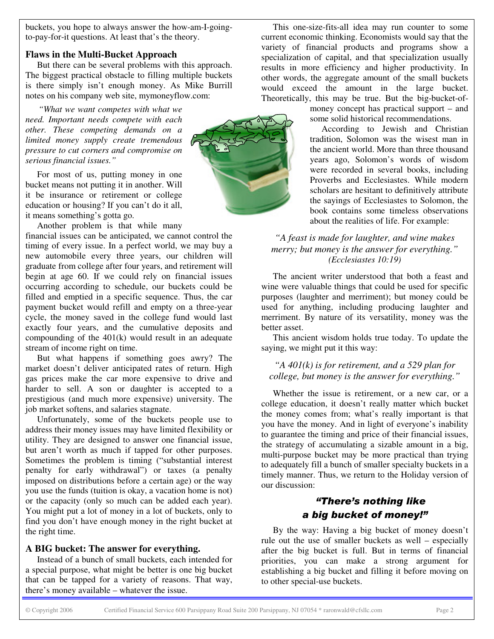buckets, you hope to always answer the how-am-I-goingto-pay-for-it questions. At least that's the theory.

#### **Flaws in the Multi-Bucket Approach**

But there can be several problems with this approach. The biggest practical obstacle to filling multiple buckets is there simply isn't enough money. As Mike Burrill notes on his company web site, mymoneyflow.com:

*"What we want competes with what we need. Important needs compete with each other. These competing demands on a limited money supply create tremendous pressure to cut corners and compromise on serious financial issues."*

For most of us, putting money in one bucket means not putting it in another. Will it be insurance or retirement or college education or housing? If you can't do it all, it means something's gotta go.

Another problem is that while many

financial issues can be anticipated, we cannot control the timing of every issue. In a perfect world, we may buy a new automobile every three years, our children will graduate from college after four years, and retirement will begin at age 60. If we could rely on financial issues occurring according to schedule, our buckets could be filled and emptied in a specific sequence. Thus, the car payment bucket would refill and empty on a three-year cycle, the money saved in the college fund would last exactly four years, and the cumulative deposits and compounding of the 401(k) would result in an adequate stream of income right on time.

But what happens if something goes awry? The market doesn't deliver anticipated rates of return. High gas prices make the car more expensive to drive and harder to sell. A son or daughter is accepted to a prestigious (and much more expensive) university. The job market softens, and salaries stagnate.

Unfortunately, some of the buckets people use to address their money issues may have limited flexibility or utility. They are designed to answer one financial issue, but aren't worth as much if tapped for other purposes. Sometimes the problem is timing ("substantial interest penalty for early withdrawal") or taxes (a penalty imposed on distributions before a certain age) or the way you use the funds (tuition is okay, a vacation home is not) or the capacity (only so much can be added each year). You might put a lot of money in a lot of buckets, only to find you don't have enough money in the right bucket at the right time.

#### **A BIG bucket: The answer for everything.**

Instead of a bunch of small buckets, each intended for a special purpose, what might be better is one big bucket that can be tapped for a variety of reasons. That way, there's money available – whatever the issue.



This one-size-fits-all idea may run counter to some current economic thinking. Economists would say that the variety of financial products and programs show a specialization of capital, and that specialization usually results in more efficiency and higher productivity. In other words, the aggregate amount of the small buckets would exceed the amount in the large bucket. Theoretically, this may be true. But the big-bucket-of-

> money concept has practical support – and some solid historical recommendations.

> According to Jewish and Christian tradition, Solomon was the wisest man in the ancient world. More than three thousand years ago, Solomon's words of wisdom were recorded in several books, including Proverbs and Ecclesiastes. While modern scholars are hesitant to definitively attribute the sayings of Ecclesiastes to Solomon, the book contains some timeless observations about the realities of life. For example:

#### *"A feast is made for laughter, and wine makes merry; but money is the answer for everything." (Ecclesiastes 10:19)*

The ancient writer understood that both a feast and wine were valuable things that could be used for specific purposes (laughter and merriment); but money could be used for anything, including producing laughter and merriment. By nature of its versatility, money was the better asset.

This ancient wisdom holds true today. To update the saying, we might put it this way:

#### *"A 401(k) is for retirement, and a 529 plan for college, but money is the answer for everything."*

Whether the issue is retirement, or a new car, or a college education, it doesn't really matter which bucket the money comes from; what's really important is that you have the money. And in light of everyone's inability to guarantee the timing and price of their financial issues, the strategy of accumulating a sizable amount in a big, multi-purpose bucket may be more practical than trying to adequately fill a bunch of smaller specialty buckets in a timely manner. Thus, we return to the Holiday version of our discussion:

### **"There's nothing like** a big bucket of money!"

By the way: Having a big bucket of money doesn't rule out the use of smaller buckets as well – especially after the big bucket is full. But in terms of financial priorities, you can make a strong argument for establishing a big bucket and filling it before moving on to other special-use buckets.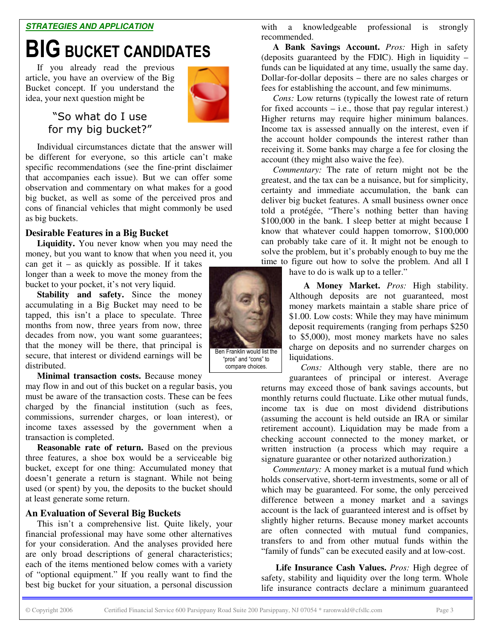#### *STRATEGIES AND APPLICATION*

# **BIG BUCKET CANDIDATES**

If you already read the previous article, you have an overview of the Big Bucket concept. If you understand the idea, your next question might be



"So what do I use for my big bucket?"

Individual circumstances dictate that the answer will be different for everyone, so this article can't make specific recommendations (see the fine-print disclaimer that accompanies each issue). But we can offer some observation and commentary on what makes for a good big bucket, as well as some of the perceived pros and cons of financial vehicles that might commonly be used as big buckets.

#### **Desirable Features in a Big Bucket**

**Liquidity.** You never know when you may need the money, but you want to know that when you need it, you

can get it – as quickly as possible. If it takes longer than a week to move the money from the bucket to your pocket, it's not very liquid.

**Stability and safety.** Since the money accumulating in a Big Bucket may need to be tapped, this isn't a place to speculate. Three months from now, three years from now, three decades from now, you want some guarantees; that the money will be there, that principal is secure, that interest or dividend earnings will be distributed.

**Minimal transaction costs.** Because money

may flow in and out of this bucket on a regular basis, you must be aware of the transaction costs. These can be fees charged by the financial institution (such as fees, commissions, surrender charges, or loan interest), or income taxes assessed by the government when a transaction is completed.

**Reasonable rate of return.** Based on the previous three features, a shoe box would be a serviceable big bucket, except for one thing: Accumulated money that doesn't generate a return is stagnant. While not being used (or spent) by you, the deposits to the bucket should at least generate some return.

#### **An Evaluation of Several Big Buckets**

This isn't a comprehensive list. Quite likely, your financial professional may have some other alternatives for your consideration. And the analyses provided here are only broad descriptions of general characteristics; each of the items mentioned below comes with a variety of "optional equipment." If you really want to find the best big bucket for your situation, a personal discussion

with a knowledgeable professional is strongly recommended.

**A Bank Savings Account.** *Pros:* High in safety (deposits guaranteed by the FDIC). High in liquidity – funds can be liquidated at any time, usually the same day. Dollar-for-dollar deposits – there are no sales charges or fees for establishing the account, and few minimums.

*Cons:* Low returns (typically the lowest rate of return for fixed accounts – i.e., those that pay regular interest.) Higher returns may require higher minimum balances. Income tax is assessed annually on the interest, even if the account holder compounds the interest rather than receiving it. Some banks may charge a fee for closing the account (they might also waive the fee).

*Commentary:* The rate of return might not be the greatest, and the tax can be a nuisance, but for simplicity, certainty and immediate accumulation, the bank can deliver big bucket features. A small business owner once told a protégée, "There's nothing better than having \$100,000 in the bank. I sleep better at might because I know that whatever could happen tomorrow, \$100,000 can probably take care of it. It might not be enough to solve the problem, but it's probably enough to buy me the time to figure out how to solve the problem. And all I

have to do is walk up to a teller."

**A Money Market.** *Pros:* High stability. Although deposits are not guaranteed, most money markets maintain a stable share price of \$1.00. Low costs: While they may have minimum deposit requirements (ranging from perhaps \$250 to \$5,000), most money markets have no sales charge on deposits and no surrender charges on liquidations.

*Cons:* Although very stable, there are no

guarantees of principal or interest. Average returns may exceed those of bank savings accounts, but monthly returns could fluctuate. Like other mutual funds, income tax is due on most dividend distributions (assuming the account is held outside an IRA or similar retirement account). Liquidation may be made from a checking account connected to the money market, or written instruction (a process which may require a signature guarantee or other notarized authorization.)

*Commentary:* A money market is a mutual fund which holds conservative, short-term investments, some or all of which may be guaranteed. For some, the only perceived difference between a money market and a savings account is the lack of guaranteed interest and is offset by slightly higher returns. Because money market accounts are often connected with mutual fund companies, transfers to and from other mutual funds within the "family of funds" can be executed easily and at low-cost.

**Life Insurance Cash Values.** *Pros:* High degree of safety, stability and liquidity over the long term. Whole life insurance contracts declare a minimum guaranteed



"pros" and "cons" to compare choices.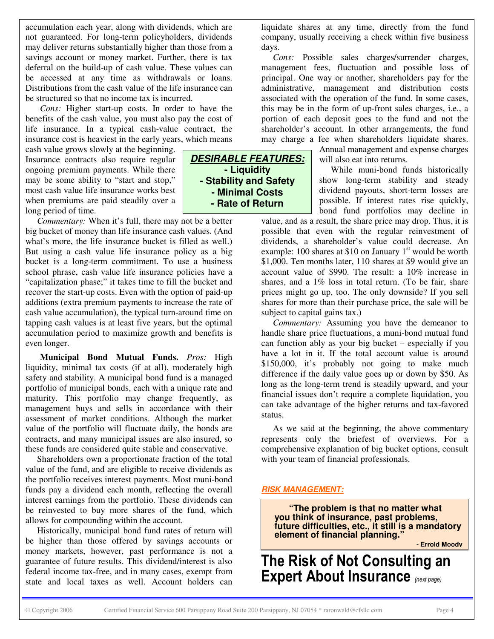accumulation each year, along with dividends, which are not guaranteed. For long-term policyholders, dividends may deliver returns substantially higher than those from a savings account or money market. Further, there is tax deferral on the build-up of cash value. These values can be accessed at any time as withdrawals or loans. Distributions from the cash value of the life insurance can be structured so that no income tax is incurred.

*Cons:* Higher start-up costs. In order to have the benefits of the cash value, you must also pay the cost of life insurance. In a typical cash-value contract, the insurance cost is heaviest in the early years, which means

cash value grows slowly at the beginning. Insurance contracts also require regular ongoing premium payments. While there may be some ability to "start and stop," most cash value life insurance works best when premiums are paid steadily over a long period of time.

*Commentary:* When it's full, there may not be a better big bucket of money than life insurance cash values. (And what's more, the life insurance bucket is filled as well.) But using a cash value life insurance policy as a big bucket is a long-term commitment. To use a business school phrase, cash value life insurance policies have a "capitalization phase;" it takes time to fill the bucket and recover the start-up costs. Even with the option of paid-up additions (extra premium payments to increase the rate of cash value accumulation), the typical turn-around time on tapping cash values is at least five years, but the optimal accumulation period to maximize growth and benefits is even longer.

**Municipal Bond Mutual Funds.** *Pros:* High liquidity, minimal tax costs (if at all), moderately high safety and stability. A municipal bond fund is a managed portfolio of municipal bonds, each with a unique rate and maturity. This portfolio may change frequently, as management buys and sells in accordance with their assessment of market conditions. Although the market value of the portfolio will fluctuate daily, the bonds are contracts, and many municipal issues are also insured, so these funds are considered quite stable and conservative.

Shareholders own a proportionate fraction of the total value of the fund, and are eligible to receive dividends as the portfolio receives interest payments. Most muni-bond funds pay a dividend each month, reflecting the overall interest earnings from the portfolio. These dividends can be reinvested to buy more shares of the fund, which allows for compounding within the account.

Historically, municipal bond fund rates of return will be higher than those offered by savings accounts or money markets, however, past performance is not a guarantee of future results. This dividend/interest is also federal income tax-free, and in many cases, exempt from state and local taxes as well. Account holders can

liquidate shares at any time, directly from the fund company, usually receiving a check within five business days.

*Cons:* Possible sales charges/surrender charges, management fees, fluctuation and possible loss of principal. One way or another, shareholders pay for the administrative, management and distribution costs associated with the operation of the fund. In some cases, this may be in the form of up-front sales charges, i.e., a portion of each deposit goes to the fund and not the shareholder's account. In other arrangements, the fund may charge a fee when shareholders liquidate shares.

> Annual management and expense charges will also eat into returns.

While muni-bond funds historically show long-term stability and steady dividend payouts, short-term losses are possible. If interest rates rise quickly, bond fund portfolios may decline in

value, and as a result, the share price may drop. Thus, it is possible that even with the regular reinvestment of dividends, a shareholder's value could decrease. An example: 100 shares at \$10 on January  $1<sup>st</sup>$  would be worth \$1,000. Ten months later, 110 shares at \$9 would give an account value of \$990. The result: a 10% increase in shares, and a 1% loss in total return. (To be fair, share prices might go up, too. The only downside? If you sell shares for more than their purchase price, the sale will be subject to capital gains tax.)

*Commentary:* Assuming you have the demeanor to handle share price fluctuations, a muni-bond mutual fund can function ably as your big bucket – especially if you have a lot in it. If the total account value is around \$150,000, it's probably not going to make much difference if the daily value goes up or down by \$50. As long as the long-term trend is steadily upward, and your financial issues don't require a complete liquidation, you can take advantage of the higher returns and tax-favored status.

As we said at the beginning, the above commentary represents only the briefest of overviews. For a comprehensive explanation of big bucket options, consult with your team of financial professionals.

#### *RISK MANAGEMENT:*

**"The problem is that no matter what you think of insurance, past problems, future difficulties, etc., it still is a mandatory element of financial planning."**

**- Errold Moody**

The Risk of Not Consulting an Expert About Insurance (next page)

*DESIRABLE FEATURES:* **- Liquidity - Stability and Safety - Minimal Costs - Rate of Return**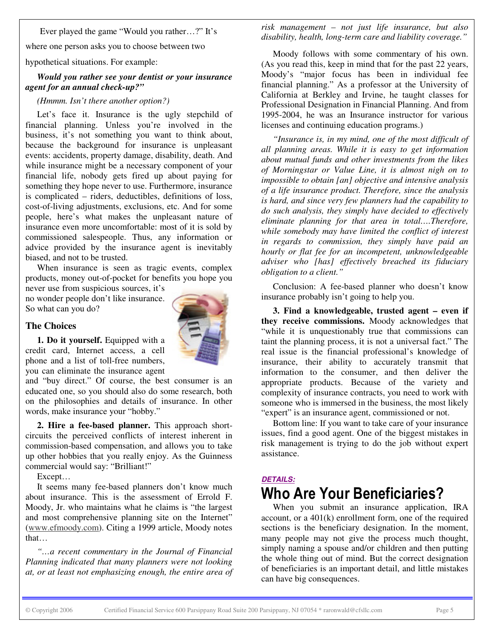Ever played the game "Would you rather…?" It's

where one person asks you to choose between two

hypothetical situations. For example:

#### *Would you rather see your dentist or your insurance agent for an annual check-up?"*

#### *(Hmmm. Isn't there another option?)*

Let's face it. Insurance is the ugly stepchild of financial planning. Unless you're involved in the business, it's not something you want to think about, because the background for insurance is unpleasant events: accidents, property damage, disability, death. And while insurance might be a necessary component of your financial life, nobody gets fired up about paying for something they hope never to use. Furthermore, insurance is complicated – riders, deductibles, definitions of loss, cost-of-living adjustments, exclusions, etc. And for some people, here's what makes the unpleasant nature of insurance even more uncomfortable: most of it is sold by commissioned salespeople. Thus, any information or advice provided by the insurance agent is inevitably biased, and not to be trusted.

When insurance is seen as tragic events, complex products, money out-of-pocket for benefits you hope you never use from suspicious sources, it's

no wonder people don't like insurance. So what can you do?

#### **The Choices**



**1. Do it yourself.** Equipped with a credit card, Internet access, a cell phone and a list of toll-free numbers, you can eliminate the insurance agent

and "buy direct." Of course, the best consumer is an educated one, so you should also do some research, both on the philosophies and details of insurance. In other words, make insurance your "hobby."

**2. Hire a fee-based planner.** This approach shortcircuits the perceived conflicts of interest inherent in commission-based compensation, and allows you to take up other hobbies that you really enjoy. As the Guinness commercial would say: "Brilliant!"

Except…

It seems many fee-based planners don't know much about insurance. This is the assessment of Errold F. Moody, Jr. who maintains what he claims is "the largest and most comprehensive planning site on the Internet" (www.efmoody.com). Citing a 1999 article, Moody notes that…

*"…a recent commentary in the Journal of Financial Planning indicated that many planners were not looking at, or at least not emphasizing enough, the entire area of* *risk management – not just life insurance, but also disability, health, long-term care and liability coverage."*

Moody follows with some commentary of his own. (As you read this, keep in mind that for the past 22 years, Moody's "major focus has been in individual fee financial planning." As a professor at the University of California at Berkley and Irvine, he taught classes for Professional Designation in Financial Planning. And from 1995-2004, he was an Insurance instructor for various licenses and continuing education programs.)

*"Insurance is, in my mind, one of the most difficult of all planning areas. While it is easy to get information about mutual funds and other investments from the likes of Morningstar or Value Line, it is almost nigh on to impossible to obtain [an] objective and intensive analysis of a life insurance product. Therefore, since the analysis is hard, and since very few planners had the capability to do such analysis, they simply have decided to effectively eliminate planning for that area in total….Therefore, while somebody may have limited the conflict of interest in regards to commission, they simply have paid an hourly or flat fee for an incompetent, unknowledgeable adviser who [has] effectively breached its fiduciary obligation to a client."*

Conclusion: A fee-based planner who doesn't know insurance probably isn't going to help you.

**3. Find a knowledgeable, trusted agent – even if they receive commissions.** Moody acknowledges that "while it is unquestionably true that commissions can taint the planning process, it is not a universal fact." The real issue is the financial professional's knowledge of insurance, their ability to accurately transmit that information to the consumer, and then deliver the appropriate products. Because of the variety and complexity of insurance contracts, you need to work with someone who is immersed in the business, the most likely "expert" is an insurance agent, commissioned or not.

Bottom line: If you want to take care of your insurance issues, find a good agent. One of the biggest mistakes in risk management is trying to do the job without expert assistance.

## *DETAILS:* Who Are Your Beneficiaries?

When you submit an insurance application, IRA account, or a 401(k) enrollment form, one of the required sections is the beneficiary designation. In the moment, many people may not give the process much thought, simply naming a spouse and/or children and then putting the whole thing out of mind. But the correct designation of beneficiaries is an important detail, and little mistakes can have big consequences.